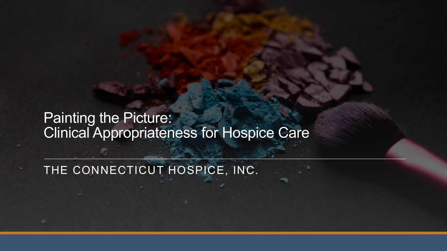#### Painting the Picture: Clinical Appropriateness for Hospice Care

THE CONNECTICUT HOSPICE, INC.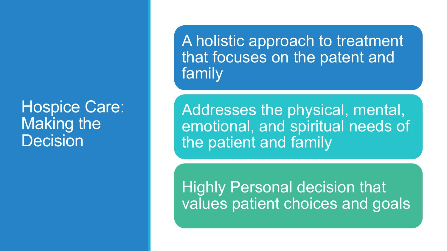#### Hospice Care: Making the **Decision**

A holistic approach to treatment that focuses on the patent and family

Addresses the physical, mental, emotional, and spiritual needs of the patient and family

Highly Personal decision that values patient choices and goals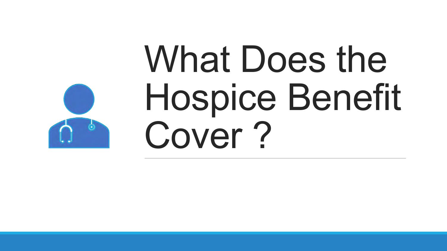# What Does the Hospice Benefit Cover ?

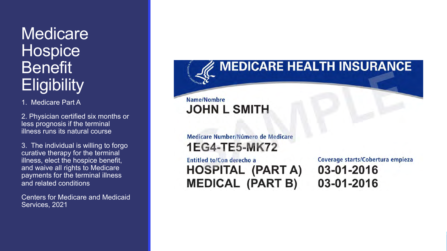#### **Medicare Hospice** Benefit **Eligibility**

1. Medicare Part A

2. Physician certified six months or less prognosis if the terminal illness runs its natural course

3. The individual is willing to forgo curative therapy for the terminal illness, elect the hospice benefit, and waive all rights to Medicare payments for the terminal illness and related conditions

Centers for Medicare and Medicaid Services, 2021

#### **MEDICARE HEALTH INSURANCE**

**JOHN L SMITH** 

Name/Nombre

Medicare Number/Número de Medicare **1EG4-TE5-MK72** 

Entitled to/Con derecho a **HOSPITAL (PART A) MEDICAL (PART B)** 

Coverage starts/Cobertura empieza 03-01-2016 03-01-2016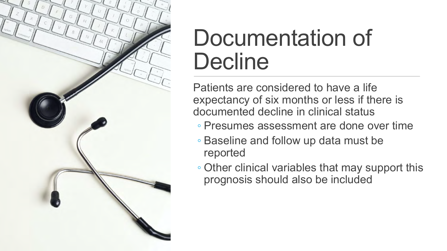

# Documentation of Decline

Patients are considered to have a life expectancy of six months or less if there is documented decline in clinical status

- Presumes assessment are done over time
- Baseline and follow up data must be reported
- Other clinical variables that may support this prognosis should also be included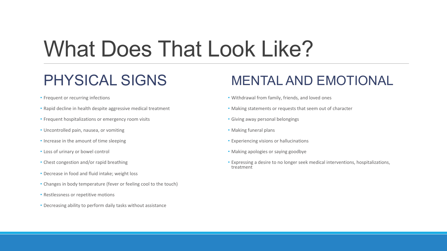# What Does That Look Like?

#### PHYSICAL SIGNS

- Frequent or recurring infections
- Rapid decline in health despite aggressive medical treatment
- Frequent hospitalizations or emergency room visits
- Uncontrolled pain, nausea, or vomiting
- Increase in the amount of time sleeping
- Loss of urinary or bowel control
- Chest congestion and/or rapid breathing
- Decrease in food and fluid intake; weight loss
- Changes in body temperature (fever or feeling cool to the touch)
- Restlessness or repetitive motions
- Decreasing ability to perform daily tasks without assistance

#### MENTAL AND EMOTIONAL

- Withdrawal from family, friends, and loved ones
- Making statements or requests that seem out of character
- Giving away personal belongings
- Making funeral plans
- Experiencing visions or hallucinations
- Making apologies or saying goodbye
- Expressing a desire to no longer seek medical interventions, hospitalizations, treatment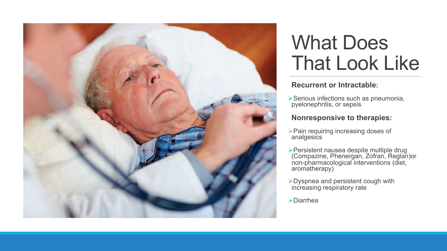

### What Does That Look Like

#### **Recurrent or Intractable:**

ØSerious infections such as pneumonia, pyelonephritis, or sepsis

#### **Nonresponsive to therapies:**

ØPain requiring increasing doses of analgesics

ØPersistent nausea despite multiple drug (Compazine, Phenergan, Zofran, Reglan)or non-pharmacological interventions (diet, aromatherapy)

 $\triangleright$  Dyspnea and persistent cough with increasing respiratory rate

ØDiarrhea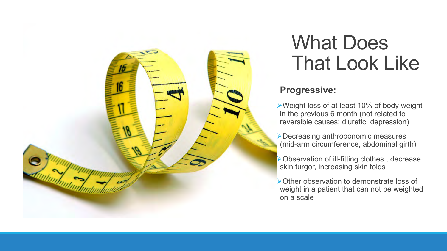

### What Does That Look Like

#### **Progressive:**

ØWeight loss of at least 10% of body weight in the previous 6 month (not related to reversible causes; diuretic, depression)

ØDecreasing anthroponomic measures (mid-arm circumference, abdominal girth)

ØObservation of ill-fitting clothes , decrease skin turgor, increasing skin folds

ØOther observation to demonstrate loss of weight in a patient that can not be weighted on a scale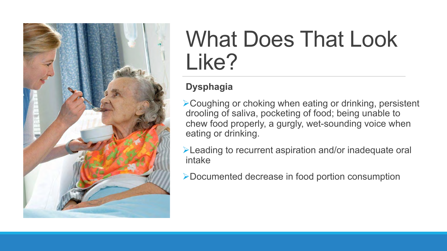

# What Does That Look Like?

#### **Dysphagia**

**≻Coughing or choking when eating or drinking, persistent** drooling of saliva, pocketing of food; being unable to chew food properly, a gurgly, wet-sounding voice when eating or drinking.

ØLeading to recurrent aspiration and/or inadequate oral intake

ØDocumented decrease in food portion consumption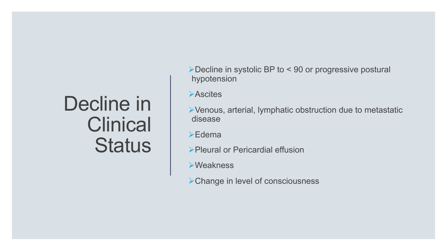### Decline in **Clinical Status**

 $\triangleright$  Decline in systolic BP to < 90 or progressive postural hypotension

**Example 3** 

 $\triangleright$  Venous, arterial, lymphatic obstruction due to metastatic disease

 $\blacktriangleright$ Edema

ØPleural or Pericardial effusion

**≻Weakness** 

ØChange in level of consciousness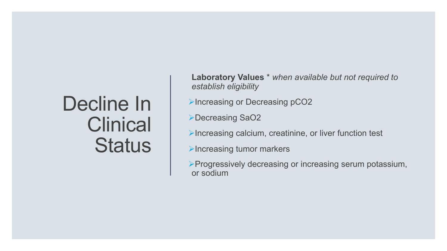### Decline In **Clinical Status**

**Laboratory Values** \* *when available but not required to establish eligibility*

**Example 2 Place as in property** pcoset and pcoset all all pcoset and pcoset all pcoset and pcoset all pcosets are all pcosets and pcosets are all pcosets and pcosets are all pcosets are all pcosets are all pcosets are all

**≻Decreasing SaO2** 

 $\blacktriangleright$  Increasing calcium, creatinine, or liver function test

 $\blacktriangleright$  Increasing tumor markers

ØProgressively decreasing or increasing serum potassium, or sodium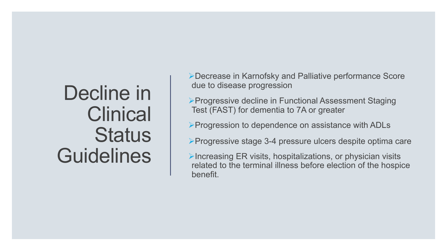### Decline in **Clinical Status Guidelines**

ØDecrease in Karnofsky and Palliative performance Score due to disease progression

ØProgressive decline in Functional Assessment Staging Test (FAST) for dementia to 7A or greater

 $\triangleright$  Progression to dependence on assistance with ADLs

**≻Progressive stage 3-4 pressure ulcers despite optima care** 

 $\blacktriangleright$  Increasing ER visits, hospitalizations, or physician visits related to the terminal illness before election of the hospice benefit.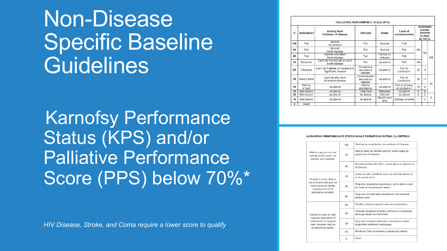### Non-Disease Specific Baseline **Guidelines**

Karnofsy Performance Status (KPS) and/or Palliative Performance Score (PPS) below 70%\*

*HIV Disease, Stroke, and Coma require a lower score to qualify*

| %             | Ambulation            | <b>Activity level</b><br><b>Evidence of disease</b>                         | Self-care                          | Intake             | Level of<br>consciousness      | <b>Fstimated</b><br>median<br>survival<br>in days<br>$(a)$ $(b)$ $(c)$ |           |    |
|---------------|-----------------------|-----------------------------------------------------------------------------|------------------------------------|--------------------|--------------------------------|------------------------------------------------------------------------|-----------|----|
| 100           | Full                  | Normal<br>No disease                                                        | Full                               | Normal             | Full                           |                                                                        |           |    |
| 90            | Full                  | Normal<br>Full.<br>Some disease                                             |                                    | Normal             | Full                           | <b>NA</b>                                                              | <b>NA</b> |    |
| 80            | Full                  | Normal with effort.<br>Normal or<br>Full<br>Full<br>Some disease<br>reduced |                                    |                    |                                |                                                                        | 108       |    |
| 70            | Reduced               | Can't do normal job or work<br>Some disease                                 | Full                               | As above           | Full                           | 145                                                                    |           |    |
| Reduced<br>60 |                       | Can't do hobbies or housework<br>Significant disease                        | Occasional<br>assistance<br>needed | As above           | Full or<br>confusion           | 29                                                                     | 4         |    |
| 50            | Mainly sit/lie        | Can't do any work<br>Extensive disease                                      |                                    | As above           | Full or<br>confusion           | 30                                                                     | 11        | 41 |
| 40            | Mainly<br>in bed      | As above                                                                    |                                    | As above           | Full or drowsy<br>or confusion | 18<br>8                                                                |           |    |
| 30            | Bed bound             | As above                                                                    | Total care                         | Reduced            | As above                       | 8                                                                      | 5         |    |
| 20            | Bed bound             | As above                                                                    | As above                           | Minimal            | As above                       | 4                                                                      | 2         |    |
| 10            | Bed bound<br>As above |                                                                             | As above                           | Mouth care<br>only | Drowsy or coma                 | 1                                                                      |           | 6  |
| $\bf{0}$      | Death                 |                                                                             |                                    |                    |                                |                                                                        |           |    |

|                                                                             | 100      | Normal no complaints; no evidence of disease.                                          |  |  |
|-----------------------------------------------------------------------------|----------|----------------------------------------------------------------------------------------|--|--|
| Able to carry on normal<br>activity and to work; no<br>special care needed. | 90       | Able to carry on normal activity; minor signs or<br>symptoms of disease.               |  |  |
|                                                                             | 80       | Normal activity with effort; some signs or symptoms<br>of disease.                     |  |  |
| Unable to work; able to                                                     | 70       | Cares for self; unable to carry on normal activity or<br>to do active work.            |  |  |
| live at home and care for<br>most personal needs:<br>varying amount of      | 60       | Requires occasional assistance, but is able to care<br>for most of his personal needs. |  |  |
| assistance needed.                                                          | 50       | Requires considerable assistance and frequent<br>medical care.                         |  |  |
|                                                                             | 40       | Disable; requires special care and assistance.                                         |  |  |
| Unable to care for self:<br>requires equivalent of                          | 30       | Severely disabled; hospital admission is indicated<br>although death not imminent.     |  |  |
| institutional or hospital<br>care; disease may be<br>progressing rapidly.   | 20       | Very sick; hospital admission necessary; active<br>supportive treatment necessary.     |  |  |
|                                                                             | 10       | Moribund; fatal processes progressing rapidly.                                         |  |  |
|                                                                             | $\Omega$ | Dead                                                                                   |  |  |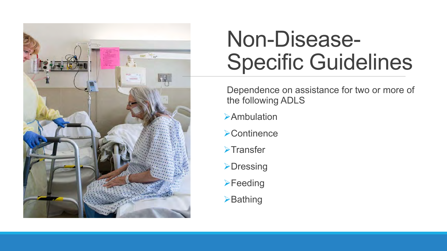

# Non-Disease-Specific Guidelines

Dependence on assistance for two or more of the following ADLS

 $\triangleright$ Ambulation

- $\triangleright$  Continence
- **>Transfer**
- **>Dressing**
- $\blacktriangleright$  Feeding
- $\blacktriangleright$  Bathing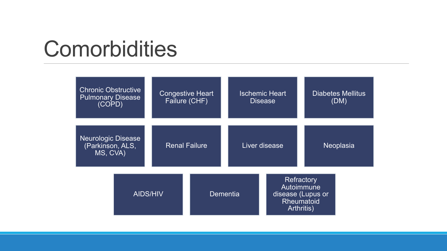### **Comorbidities**

| <b>Chronic Obstructive</b><br><b>Pulmonary Disease</b><br>(COPD) |  | <b>Congestive Heart</b><br>Failure (CHF) |  | <b>Ischemic Heart</b><br><b>Disease</b> |                                                                           | <b>Diabetes Mellitus</b><br>(DM) |  |
|------------------------------------------------------------------|--|------------------------------------------|--|-----------------------------------------|---------------------------------------------------------------------------|----------------------------------|--|
| Neurologic Disease<br>(Parkinson, ALS,<br>MS, CVA)               |  | <b>Renal Failure</b>                     |  | Liver disease                           |                                                                           | <b>Neoplasia</b>                 |  |
| <b>AIDS/HIV</b>                                                  |  | <b>Dementia</b>                          |  |                                         | Refractory<br>Autoimmune<br>disease (Lupus or<br>Rheumatoid<br>Arthritis) |                                  |  |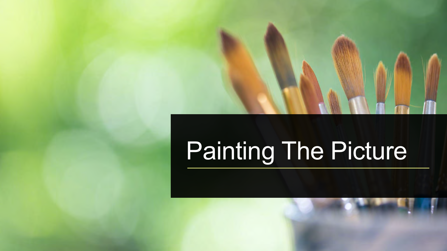# Painting The Picture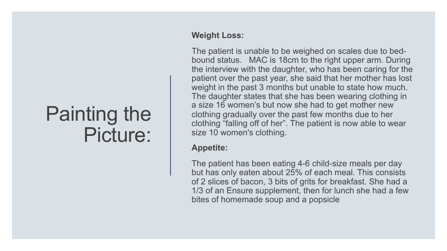### Painting the Picture:

#### **Weight Loss:**

The patient is unable to be weighed on scales due to bedbound status. MAC is 18cm to the right upper arm. During the interview with the daughter, who has been caring for the patient over the past year, she said that her mother has lost weight in the past 3 months but unable to state how much. The daughter states that she has been wearing clothing in a size 16 women's but now she had to get mother new clothing gradually over the past few months due to her clothing "falling off of her". The patient is now able to wear size 10 women's clothing.

#### **Appetite:**

The patient has been eating 4-6 child-size meals per day but has only eaten about 25% of each meal. This consists of 2 slices of bacon, 3 bits of grits for breakfast. She had a 1/3 of an Ensure supplement, then for lunch she had a few bites of homemade soup and a popsicle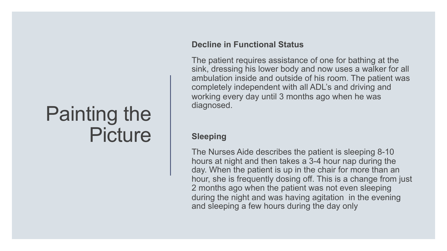### Painting the **Picture**

#### **Decline in Functional Status**

The patient requires assistance of one for bathing at the sink, dressing his lower body and now uses a walker for all ambulation inside and outside of his room. The patient was completely independent with all ADL's and driving and working every day until 3 months ago when he was diagnosed.

#### **Sleeping**

The Nurses Aide describes the patient is sleeping 8-10 hours at night and then takes a 3-4 hour nap during the day. When the patient is up in the chair for more than an hour, she is frequently dosing off. This is a change from just 2 months ago when the patient was not even sleeping during the night and was having agitation in the evening and sleeping a few hours during the day only